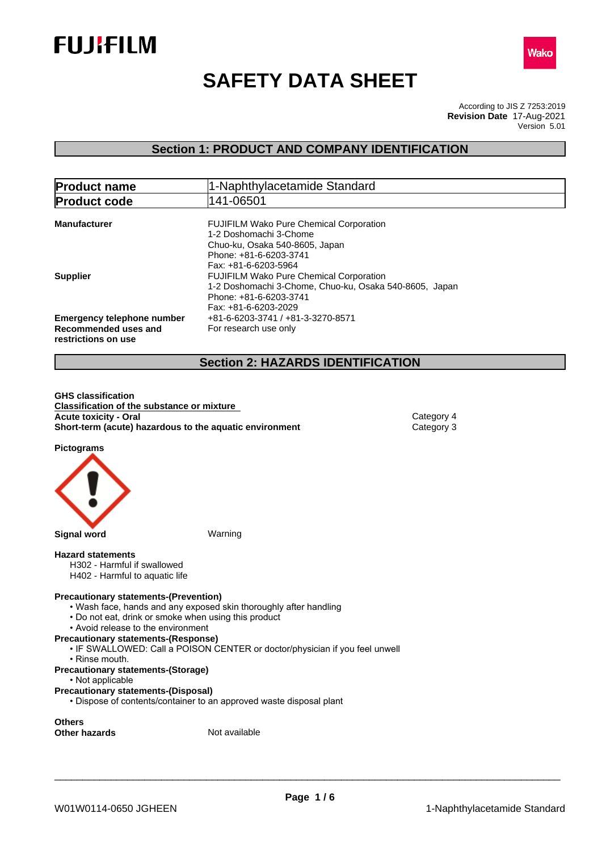



# **SAFETY DATA SHEET**

According to JIS Z 7253:2019 Version 5.01 **Revision Date** 17-Aug-2021

# **Section 1: PRODUCT AND COMPANY IDENTIFICATION**

| <b>Product name</b>                                                              | 1-Naphthylacetamide Standard<br>141-06501                                                                                                                    |  |  |
|----------------------------------------------------------------------------------|--------------------------------------------------------------------------------------------------------------------------------------------------------------|--|--|
| <b>Product code</b>                                                              |                                                                                                                                                              |  |  |
| <b>Manufacturer</b>                                                              | <b>FUJIFILM Wako Pure Chemical Corporation</b><br>1-2 Doshomachi 3-Chome<br>Chuo-ku, Osaka 540-8605, Japan<br>Phone: +81-6-6203-3741<br>Fax: +81-6-6203-5964 |  |  |
| <b>Supplier</b>                                                                  | <b>FUJIFILM Wako Pure Chemical Corporation</b><br>1-2 Doshomachi 3-Chome, Chuo-ku, Osaka 540-8605, Japan<br>Phone: +81-6-6203-3741<br>Fax: +81-6-6203-2029   |  |  |
| <b>Emergency telephone number</b><br>Recommended uses and<br>restrictions on use | +81-6-6203-3741 / +81-3-3270-8571<br>For research use only                                                                                                   |  |  |

# **Section 2: HAZARDS IDENTIFICATION**

**GHS classification Classification of the substance or mixture Acute toxicity - Oral** Category 4<br> **Short-term (acute) hazardous to the aquatic environment** Category 3 **Short-term (acute) hazardous to the aquatic environment** 

**Pictograms**



#### **Hazard statements**

- H302 Harmful if swallowed
- H402 Harmful to aquatic life

#### **Precautionary statements-(Prevention)**

- Wash face, hands and any exposed skin thoroughly after handling
- Do not eat, drink or smoke when using this product
- Avoid release to the environment

# **Precautionary statements-(Response)**

- IF SWALLOWED: Call a POISON CENTER or doctor/physician if you feel unwell
- Rinse mouth.
- **Precautionary statements-(Storage)**
	- Not applicable
- **Precautionary statements-(Disposal)**
	- Dispose of contents/container to an approved waste disposal plant

**Others**

**Other hazards** Not available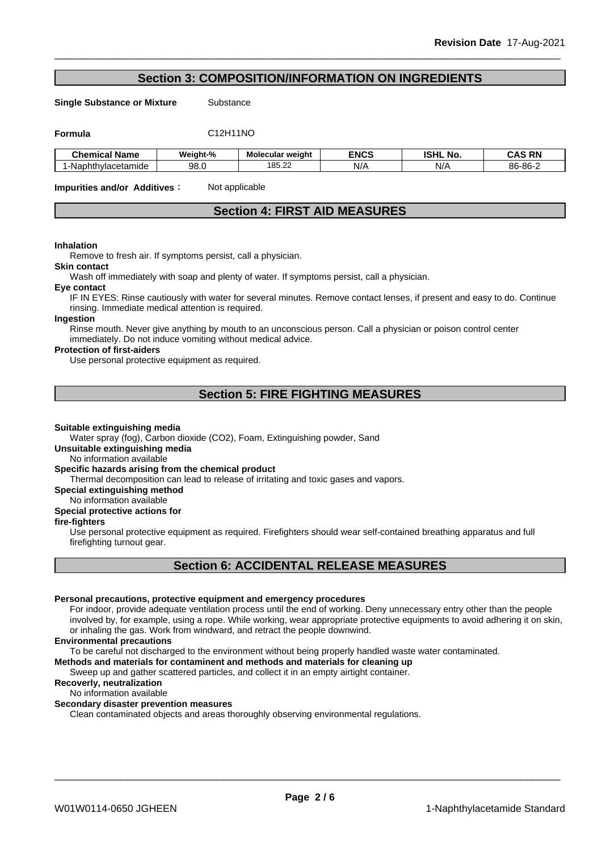# **Section 3: COMPOSITION/INFORMATION ON INGREDIENTS**

**Single Substance or Mixture** Substance

**Formula** C12H11NO

| Chemical Name      | <br>$\sim$ $\sim$<br>Weight-% | Molecular weight                    | <b>ENCS</b> | юш<br>N0<br>וחסו | <b>DN</b><br>^<br>uno<br>-- |
|--------------------|-------------------------------|-------------------------------------|-------------|------------------|-----------------------------|
| -Naphthylacetamide | -Q.P<br>JU.U                  | $\sim$<br>40 <sup>F</sup><br>100.ZZ | N/A         | N/A              | 86-86-                      |

**Impurities and/or Additives**: Not applicable

# **Section 4: FIRST AID MEASURES**

#### **Inhalation**

Remove to fresh air. If symptoms persist, call a physician.

#### **Skin contact**

Wash off immediately with soap and plenty of water. If symptoms persist, call a physician.

#### **Eye contact**

IF IN EYES: Rinse cautiously with water for several minutes. Remove contact lenses, if present and easy to do. Continue rinsing. Immediate medical attention is required.

#### **Ingestion**

Rinse mouth. Never give anything by mouth to an unconscious person. Call a physician or poison control center immediately. Do not induce vomiting without medical advice.

# **Protection of first-aiders**

Use personal protective equipment as required.

# **Section 5: FIRE FIGHTING MEASURES**

#### **Suitable extinguishing media**

Water spray (fog), Carbon dioxide (CO2), Foam, Extinguishing powder, Sand

### **Unsuitable extinguishing media**

No information available

### **Specific hazards arising from the chemical product**

Thermal decomposition can lead to release of irritating and toxic gases and vapors.

# **Special extinguishing method**

# No information available

# **Special protective actions for**

# **fire-fighters**

Use personal protective equipment as required.Firefighters should wear self-contained breathing apparatus and full firefighting turnout gear.

# **Section 6: ACCIDENTAL RELEASE MEASURES**

#### **Personal precautions, protective equipment and emergency procedures**

For indoor, provide adequate ventilation process until the end of working. Deny unnecessary entry other than the people involved by, for example, using a rope. While working, wear appropriate protective equipments to avoid adhering it on skin, or inhaling the gas. Work from windward, and retract the people downwind.

#### **Environmental precautions**

To be careful not discharged to the environment without being properly handled waste water contaminated.

### **Methods and materials for contaminent and methods and materials for cleaning up**

Sweep up and gather scattered particles, and collect it in an empty airtight container.

# **Recoverly, neutralization**

# No information available

# **Secondary disaster prevention measures**

Clean contaminated objects and areas thoroughly observing environmental regulations.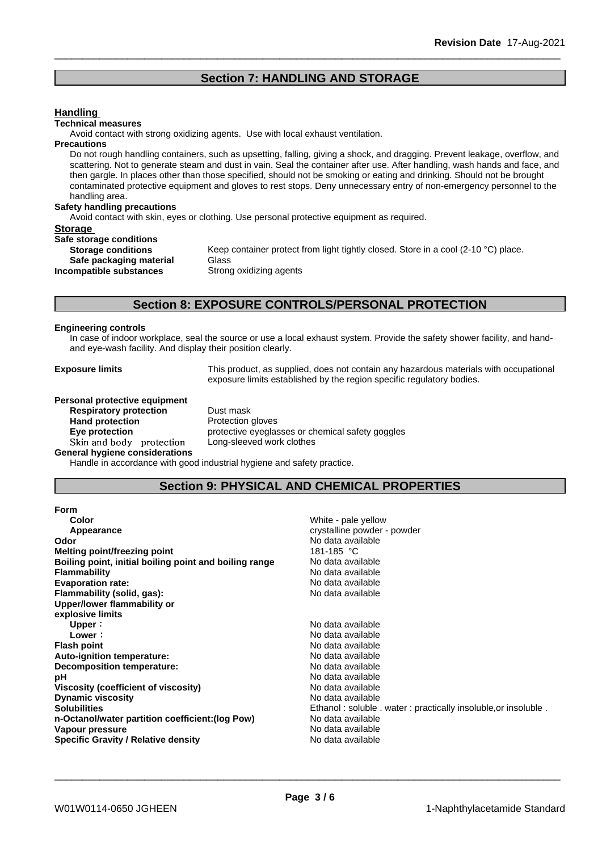# **Section 7: HANDLING AND STORAGE**

#### **Handling**

#### **Technical measures**

Avoid contact with strong oxidizing agents. Use with local exhaust ventilation.

#### **Precautions**

Do not rough handling containers, such as upsetting, falling, giving a shock, and dragging. Prevent leakage, overflow, and scattering. Not to generate steam and dust in vain. Seal the container after use. After handling, wash hands and face, and then gargle. In places other than those specified, should not be smoking or eating and drinking. Should not be brought contaminated protective equipment and gloves to rest stops. Deny unnecessary entry of non-emergency personnel to the handling area.

#### **Safety handling precautions**

Avoid contact with skin, eyes or clothing. Use personal protective equipment as required.

# **Storage**

**Safe storage conditions Safe packaging material** Glass<br>**ompatible substances** Strong oxidizing agents **Incompatible substances** 

**Storage conditions** Keep container protect from light tightly closed. Store in a cool (2-10 °C) place.

# **Section 8: EXPOSURE CONTROLS/PERSONAL PROTECTION**

#### **Engineering controls**

In case of indoor workplace, seal the source or use a local exhaust system. Provide the safety shower facility, and handand eye-wash facility. And display their position clearly.

**Exposure limits** This product, as supplied, does not contain any hazardous materials with occupational exposure limits established by the region specific regulatory bodies.

**Personal protective equipment Respiratory protection** Dust mask **Hand protection** Protection gloves Skin and body protection Long-sleeved work clothes **General hygiene considerations**

**Eye protection Eve protective eyeglasses or chemical safety goggles** 

Handle in accordance with good industrial hygiene and safety practice.

# **Section 9: PHYSICAL AND CHEMICAL PROPERTIES**

| <b>Form</b>                                            |                                                                |
|--------------------------------------------------------|----------------------------------------------------------------|
| Color                                                  | White - pale yellow                                            |
| Appearance                                             | crystalline powder - powder                                    |
| Odor                                                   | No data available                                              |
| Melting point/freezing point                           | 181-185 °C                                                     |
| Boiling point, initial boiling point and boiling range | No data available                                              |
| <b>Flammability</b>                                    | No data available                                              |
| <b>Evaporation rate:</b>                               | No data available                                              |
| Flammability (solid, gas):                             | No data available                                              |
| Upper/lower flammability or                            |                                                                |
| explosive limits                                       |                                                                |
| Upper:                                                 | No data available                                              |
| Lower:                                                 | No data available                                              |
| <b>Flash point</b>                                     | No data available                                              |
| <b>Auto-ignition temperature:</b>                      | No data available                                              |
| Decomposition temperature:                             | No data available                                              |
| рH                                                     | No data available                                              |
| Viscosity (coefficient of viscosity)                   | No data available                                              |
| <b>Dynamic viscosity</b>                               | No data available                                              |
| <b>Solubilities</b>                                    | Ethanol: soluble . water: practically insoluble, or insoluble. |
| n-Octanol/water partition coefficient: (log Pow)       | No data available                                              |
| Vapour pressure                                        | No data available                                              |
| Specific Gravity / Relative density                    | No data available                                              |
|                                                        |                                                                |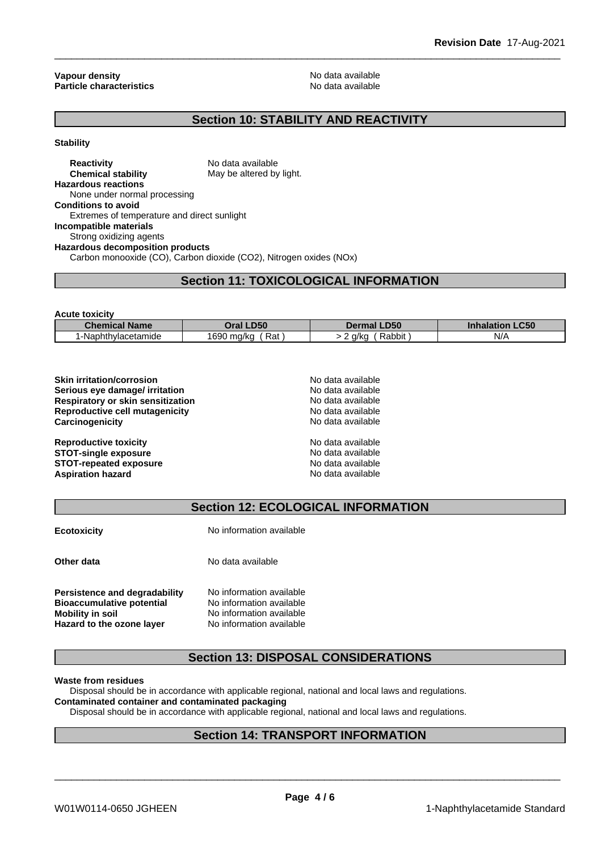**Vapour density**<br> **Particle characteristics**<br> **Particle characteristics Particle characteristics** 

# **Section 10: STABILITY AND REACTIVITY**

#### **Stability**

**Reactivity** No data available<br> **Chemical stability** May be altered by May be altered by light. **Hazardous reactions** None under normal processing **Conditions to avoid** Extremes of temperature and direct sunlight **Incompatible materials** Strong oxidizing agents **Hazardous decomposition products** Carbon monooxide (CO), Carbon dioxide (CO2), Nitrogen oxides (NOx)

# **Section 11: TOXICOLOGICAL INFORMATION**

| <b>Acute toxicity</b> |                   |                    |                                  |
|-----------------------|-------------------|--------------------|----------------------------------|
| <b>Chemical Name</b>  | Oral LD50         | <b>Dermal LD50</b> | <b>LC50</b><br><b>Inhalation</b> |
| !-Naphthylacetamide   | 1690 ma/ka<br>Rat | Rabbit<br>. g/kg   | N/A                              |

| <b>Skin irritation/corrosion</b>  | No data available |  |
|-----------------------------------|-------------------|--|
| Serious eye damage/ irritation    | No data available |  |
| Respiratory or skin sensitization | No data available |  |
| Reproductive cell mutagenicity    | No data available |  |
| Carcinogenicity                   | No data available |  |
| <b>Reproductive toxicity</b>      | No data available |  |
| <b>STOT-single exposure</b>       | No data available |  |
| <b>STOT-repeated exposure</b>     | No data available |  |
| <b>Aspiration hazard</b>          | No data available |  |
|                                   |                   |  |

# **Section 12: ECOLOGICAL INFORMATION**

| <b>Ecotoxicity</b>                                                                                                        | No information available                                                                                     |  |  |
|---------------------------------------------------------------------------------------------------------------------------|--------------------------------------------------------------------------------------------------------------|--|--|
| Other data                                                                                                                | No data available                                                                                            |  |  |
| Persistence and degradability<br><b>Bioaccumulative potential</b><br><b>Mobility in soil</b><br>Hazard to the ozone layer | No information available<br>No information available<br>No information available<br>No information available |  |  |

# **Section 13: DISPOSAL CONSIDERATIONS**

#### **Waste from residues**

Disposal should be in accordance with applicable regional, national and local laws and regulations.

# **Contaminated container and contaminated packaging**

Disposal should be in accordance with applicable regional, national and local laws and regulations.

# **Section 14: TRANSPORT INFORMATION**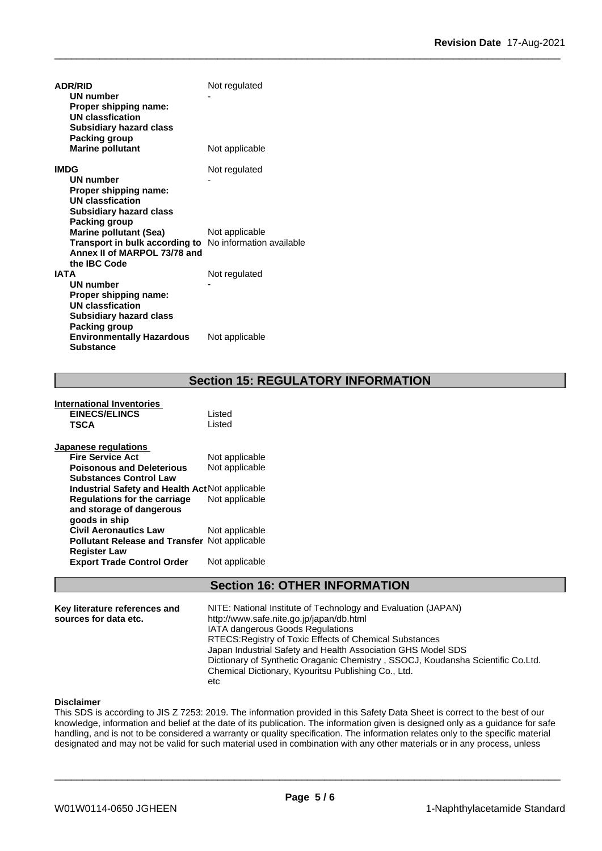| <b>ADR/RID</b>                                                 | Not regulated  |
|----------------------------------------------------------------|----------------|
| UN number                                                      |                |
| Proper shipping name:                                          |                |
| <b>UN classfication</b>                                        |                |
| <b>Subsidiary hazard class</b>                                 |                |
| Packing group                                                  |                |
| <b>Marine pollutant</b>                                        | Not applicable |
| <b>IMDG</b>                                                    | Not regulated  |
| UN number                                                      |                |
| Proper shipping name:                                          |                |
| <b>UN classfication</b>                                        |                |
| <b>Subsidiary hazard class</b>                                 |                |
| Packing group                                                  |                |
| <b>Marine pollutant (Sea)</b>                                  | Not applicable |
| <b>Transport in bulk according to</b> No information available |                |
| Annex II of MARPOL 73/78 and                                   |                |
| the IBC Code                                                   |                |
| <b>IATA</b>                                                    | Not regulated  |
| <b>UN number</b>                                               |                |
| Proper shipping name:<br>UN classfication                      |                |
| <b>Subsidiary hazard class</b>                                 |                |
| Packing group                                                  |                |
| <b>Environmentally Hazardous</b>                               | Not applicable |
| <b>Substance</b>                                               |                |

# **Section 15: REGULATORY INFORMATION**

| International Inventories<br><b>EINECS/ELINCS</b><br>TSCA | Listed<br>Listed |
|-----------------------------------------------------------|------------------|
| Japanese regulations                                      |                  |
| <b>Fire Service Act</b>                                   | Not applicable   |
| <b>Poisonous and Deleterious</b>                          | Not applicable   |
| <b>Substances Control Law</b>                             |                  |
| <b>Industrial Safety and Health Act Not applicable</b>    |                  |
| Regulations for the carriage                              | Not applicable   |
| and storage of dangerous                                  |                  |
| goods in ship                                             |                  |
| <b>Civil Aeronautics Law</b>                              | Not applicable   |
| <b>Pollutant Release and Transfer Not applicable</b>      |                  |
| <b>Register Law</b>                                       |                  |
| <b>Export Trade Control Order</b>                         | Not applicable   |
|                                                           |                  |

# **Section 16: OTHER INFORMATION**

| Key literature references and | NITE: National Institute of Technology and Evaluation (JAPAN)                   |  |
|-------------------------------|---------------------------------------------------------------------------------|--|
| sources for data etc.         | http://www.safe.nite.go.jp/japan/db.html                                        |  |
|                               | <b>IATA dangerous Goods Regulations</b>                                         |  |
|                               | RTECS: Registry of Toxic Effects of Chemical Substances                         |  |
|                               | Japan Industrial Safety and Health Association GHS Model SDS                    |  |
|                               | Dictionary of Synthetic Oraganic Chemistry, SSOCJ, Koudansha Scientific Co.Ltd. |  |
|                               | Chemical Dictionary, Kyouritsu Publishing Co., Ltd.                             |  |
|                               | etc                                                                             |  |

### **Disclaimer**

This SDS is according to JIS Z 7253: 2019. The information provided in this Safety Data Sheet is correct to the best of our knowledge, information and belief at the date of its publication. The information given is designed only as a guidance for safe handling, and is not to be considered a warranty or quality specification. The information relates only to the specific material designated and may not be valid for such material used in combination with any other materials or in any process, unless